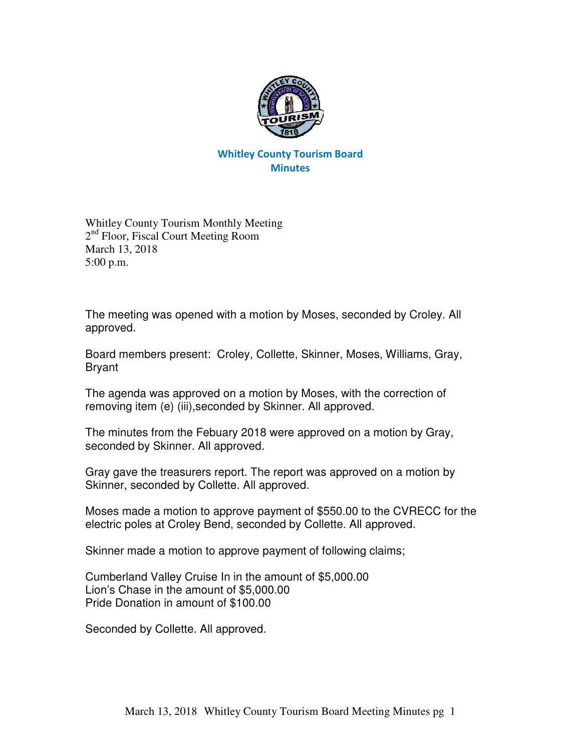

## Whitley County Tourism Board **Minutes**

Whitley County Tourism Monthly Meeting 2<sup>nd</sup> Floor, Fiscal Court Meeting Room March 13, 2018 5:00 p.m.

The meeting was opened with a motion by Moses, seconded by Croley. All approved.

Board members present: Croley, Collette, Skinner, Moses, Williams, Gray, Bryant

The agenda was approved on a motion by Moses, with the correction of removing item (e) (iii),seconded by Skinner. All approved.

The minutes from the Febuary 2018 were approved on a motion by Gray, seconded by Skinner. All approved.

Gray gave the treasurers report. The report was approved on a motion by Skinner, seconded by Collette. All approved.

Moses made a motion to approve payment of \$550.00 to the CVRECC for the electric poles at Croley Bend, seconded by Collette. All approved.

Skinner made a motion to approve payment of following claims;

Cumberland Valley Cruise In in the amount of \$5,000.00 Lion's Chase in the amount of \$5,000.00 Pride Donation in amount of \$100.00

Seconded by Collette. All approved.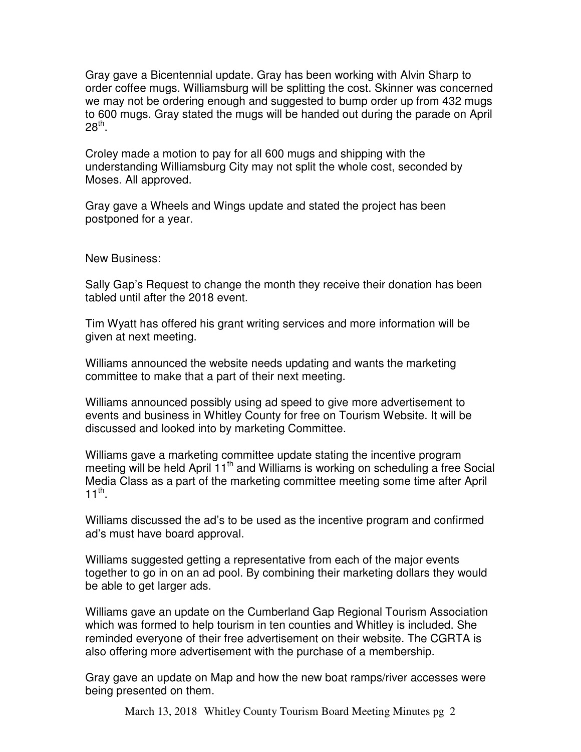Gray gave a Bicentennial update. Gray has been working with Alvin Sharp to order coffee mugs. Williamsburg will be splitting the cost. Skinner was concerned we may not be ordering enough and suggested to bump order up from 432 mugs to 600 mugs. Gray stated the mugs will be handed out during the parade on April  $28^\mathsf{th}$ .

Croley made a motion to pay for all 600 mugs and shipping with the understanding Williamsburg City may not split the whole cost, seconded by Moses. All approved.

Gray gave a Wheels and Wings update and stated the project has been postponed for a year.

New Business:

Sally Gap's Request to change the month they receive their donation has been tabled until after the 2018 event.

Tim Wyatt has offered his grant writing services and more information will be given at next meeting.

Williams announced the website needs updating and wants the marketing committee to make that a part of their next meeting.

Williams announced possibly using ad speed to give more advertisement to events and business in Whitley County for free on Tourism Website. It will be discussed and looked into by marketing Committee.

Williams gave a marketing committee update stating the incentive program meeting will be held April  $11<sup>th</sup>$  and Williams is working on scheduling a free Social Media Class as a part of the marketing committee meeting some time after April  $11^{\text{th}}$ .

Williams discussed the ad's to be used as the incentive program and confirmed ad's must have board approval.

Williams suggested getting a representative from each of the major events together to go in on an ad pool. By combining their marketing dollars they would be able to get larger ads.

Williams gave an update on the Cumberland Gap Regional Tourism Association which was formed to help tourism in ten counties and Whitley is included. She reminded everyone of their free advertisement on their website. The CGRTA is also offering more advertisement with the purchase of a membership.

Gray gave an update on Map and how the new boat ramps/river accesses were being presented on them.

March 13, 2018 Whitley County Tourism Board Meeting Minutes pg 2